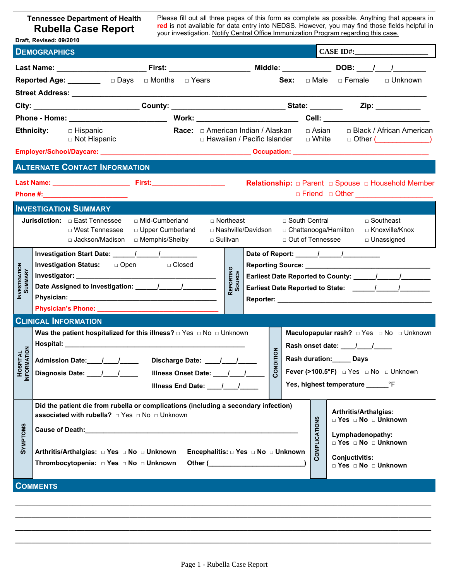| Please fill out all three pages of this form as complete as possible. Anything that appears in<br><b>Tennessee Department of Health</b><br>red is not available for data entry into NEDSS. However, you may find those fields helpful in<br><b>Rubella Case Report</b><br>your investigation. Notify Central Office Immunization Program regarding this case.<br>Draft, Revised: 09/2010                                                                     |                                                                                                                                                                                                                                                                        |                                                            |                                                           |  |                                                                                                                                                                             |  |                                              |                                                                                                                   |
|--------------------------------------------------------------------------------------------------------------------------------------------------------------------------------------------------------------------------------------------------------------------------------------------------------------------------------------------------------------------------------------------------------------------------------------------------------------|------------------------------------------------------------------------------------------------------------------------------------------------------------------------------------------------------------------------------------------------------------------------|------------------------------------------------------------|-----------------------------------------------------------|--|-----------------------------------------------------------------------------------------------------------------------------------------------------------------------------|--|----------------------------------------------|-------------------------------------------------------------------------------------------------------------------|
|                                                                                                                                                                                                                                                                                                                                                                                                                                                              | <b>DEMOGRAPHICS</b>                                                                                                                                                                                                                                                    |                                                            |                                                           |  |                                                                                                                                                                             |  |                                              | $CASE ID#$ :                                                                                                      |
|                                                                                                                                                                                                                                                                                                                                                                                                                                                              | Last Name: _______________________________First: ______________________________Middle: _____________________DOB: ____/____/____________                                                                                                                                |                                                            |                                                           |  |                                                                                                                                                                             |  |                                              |                                                                                                                   |
|                                                                                                                                                                                                                                                                                                                                                                                                                                                              |                                                                                                                                                                                                                                                                        |                                                            |                                                           |  |                                                                                                                                                                             |  |                                              |                                                                                                                   |
|                                                                                                                                                                                                                                                                                                                                                                                                                                                              | Street Address: ___________                                                                                                                                                                                                                                            |                                                            |                                                           |  |                                                                                                                                                                             |  |                                              |                                                                                                                   |
|                                                                                                                                                                                                                                                                                                                                                                                                                                                              | City: ________________________________County: __________________________________State: ____________                                                                                                                                                                    |                                                            |                                                           |  |                                                                                                                                                                             |  |                                              | Zip:                                                                                                              |
|                                                                                                                                                                                                                                                                                                                                                                                                                                                              |                                                                                                                                                                                                                                                                        |                                                            |                                                           |  |                                                                                                                                                                             |  |                                              |                                                                                                                   |
|                                                                                                                                                                                                                                                                                                                                                                                                                                                              | <b>Ethnicity:</b><br>$\Box$ Hispanic<br>□ Not Hispanic                                                                                                                                                                                                                 | <b>Race:</b> $\Box$ American Indian / Alaskan              | □ Hawaiian / Pacific Islander                             |  |                                                                                                                                                                             |  | $\Box$ White $\Box$ Other (                  | □ Asian □ Black / African American                                                                                |
|                                                                                                                                                                                                                                                                                                                                                                                                                                                              |                                                                                                                                                                                                                                                                        |                                                            |                                                           |  |                                                                                                                                                                             |  |                                              |                                                                                                                   |
|                                                                                                                                                                                                                                                                                                                                                                                                                                                              | <b>ALTERNATE CONTACT INFORMATION</b>                                                                                                                                                                                                                                   |                                                            |                                                           |  |                                                                                                                                                                             |  |                                              |                                                                                                                   |
|                                                                                                                                                                                                                                                                                                                                                                                                                                                              |                                                                                                                                                                                                                                                                        |                                                            |                                                           |  |                                                                                                                                                                             |  |                                              | Relationship: $\Box$ Parent $\Box$ Spouse $\Box$ Household Member<br>□ Friend □ Other <u>____________________</u> |
|                                                                                                                                                                                                                                                                                                                                                                                                                                                              | <b>INVESTIGATION SUMMARY</b>                                                                                                                                                                                                                                           |                                                            |                                                           |  |                                                                                                                                                                             |  |                                              |                                                                                                                   |
|                                                                                                                                                                                                                                                                                                                                                                                                                                                              | <b>Jurisdiction:</b> $\Box$ East Tennessee<br>□ West Tennessee<br>□ Jackson/Madison                                                                                                                                                                                    | □ Mid-Cumberland<br>D Upper Cumberland<br>□ Memphis/Shelby | □ Northeast<br>□ Nashville/Davidson<br>$\square$ Sullivan |  | □ South Central                                                                                                                                                             |  | □ Chattanooga/Hamilton<br>□ Out of Tennessee | $\Box$ Southeast<br>□ Knoxville/Knox<br>□ Unassigned                                                              |
| <b>INVESTIGATION</b><br>SUMMARY                                                                                                                                                                                                                                                                                                                                                                                                                              | Investigation Status: <del>p</del> Open <sub>p</sub> Closed                                                                                                                                                                                                            | REPORTING<br><b>SOURCE</b>                                 |                                                           |  |                                                                                                                                                                             |  |                                              |                                                                                                                   |
|                                                                                                                                                                                                                                                                                                                                                                                                                                                              | <b>CLINICAL INFORMATION</b>                                                                                                                                                                                                                                            |                                                            |                                                           |  |                                                                                                                                                                             |  |                                              |                                                                                                                   |
| NFORMATION<br><b>HOSPITAL</b>                                                                                                                                                                                                                                                                                                                                                                                                                                | Was the patient hospitalized for this illness? $\Box$ Yes $\Box$ No $\Box$ Unknown<br>Hospital:<br><u> 1989 - Johann John Stone, Amerikaansk politiker († 1908)</u><br>CONDITION<br>Admission Date: 1 1<br>Discharge Date: \[ _____/ ____/<br>Illness End Date: \[\[\] |                                                            |                                                           |  | <b>Maculopapular rash?</b> $\Box$ Yes $\Box$ No $\Box$ Unknown<br>Rash duration:_____ Days<br>Fever (>100.5°F) □ Yes □ No □ Unknown<br>Yes, highest temperature ________ °F |  |                                              |                                                                                                                   |
| Did the patient die from rubella or complications (including a secondary infection)<br>Arthritis/Arthalgias:<br>associated with rubella? □ Yes □ No □ Unknown<br>COMPLICATIONS<br>□ Yes □ No □ Unknown<br><b>SYMPTOMS</b><br>Lymphadenopathy:<br>□ Yes □ No □ Unknown<br>Arthritis/Arthalgias: □ Yes □ No □ Unknown<br>Encephalitis: $\Box$ Yes $\Box$ No $\Box$ Unknown<br>Conjuctivitis:<br>Thrombocytopenia: □ Yes □ No □ Unknown<br>□ Yes □ No □ Unknown |                                                                                                                                                                                                                                                                        |                                                            |                                                           |  |                                                                                                                                                                             |  |                                              |                                                                                                                   |
|                                                                                                                                                                                                                                                                                                                                                                                                                                                              | <b>COMMENTS</b>                                                                                                                                                                                                                                                        |                                                            |                                                           |  |                                                                                                                                                                             |  |                                              |                                                                                                                   |

**\_\_\_\_\_\_\_\_\_\_\_\_\_\_\_\_\_\_\_\_\_\_\_\_\_\_\_\_\_\_\_\_\_\_\_\_\_\_\_\_\_\_\_\_\_\_\_\_\_\_\_\_\_\_\_\_\_\_\_\_\_\_\_\_\_\_\_\_\_\_\_\_\_\_\_\_\_\_\_\_\_\_\_\_\_\_\_\_\_\_\_\_\_\_\_\_\_\_\_\_\_\_ \_\_\_\_\_\_\_\_\_\_\_\_\_\_\_\_\_\_\_\_\_\_\_\_\_\_\_\_\_\_\_\_\_\_\_\_\_\_\_\_\_\_\_\_\_\_\_\_\_\_\_\_\_\_\_\_\_\_\_\_\_\_\_\_\_\_\_\_\_\_\_\_\_\_\_\_\_\_\_\_\_\_\_\_\_\_\_\_\_\_\_\_\_\_\_\_\_\_\_\_\_\_**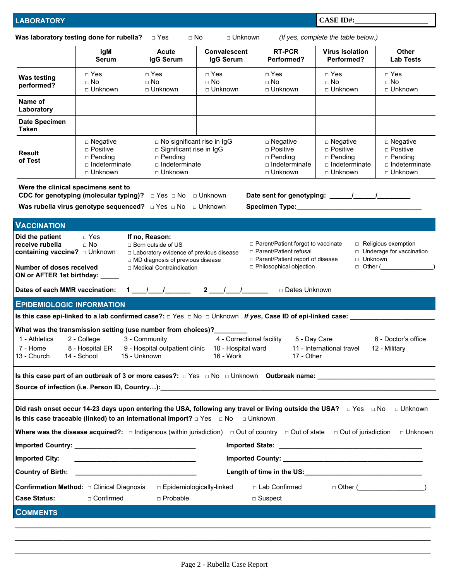**CASE ID#:\_\_\_\_\_\_\_\_\_\_\_\_\_\_\_\_\_\_\_\_** 

| Was laboratory testing done for rubella?                                                                                                                                                                                                                                                                                                                                                                                                                                                                                                    |                                                                                    | $\Box$ Yes<br>$\sqcap$ No                                                                                                                                                                                                         | □ Unknown                            |                                                                                    | (If yes, complete the table below.)                                                        |                                                                            |  |
|---------------------------------------------------------------------------------------------------------------------------------------------------------------------------------------------------------------------------------------------------------------------------------------------------------------------------------------------------------------------------------------------------------------------------------------------------------------------------------------------------------------------------------------------|------------------------------------------------------------------------------------|-----------------------------------------------------------------------------------------------------------------------------------------------------------------------------------------------------------------------------------|--------------------------------------|------------------------------------------------------------------------------------|--------------------------------------------------------------------------------------------|----------------------------------------------------------------------------|--|
|                                                                                                                                                                                                                                                                                                                                                                                                                                                                                                                                             | <b>IgM</b><br><b>Serum</b>                                                         | <b>Acute</b><br>IgG Serum                                                                                                                                                                                                         | <b>Convalescent</b><br>IgG Serum     | <b>RT-PCR</b><br>Performed?                                                        | <b>Virus Isolation</b><br>Performed?                                                       | <b>Other</b><br><b>Lab Tests</b>                                           |  |
| <b>Was testing</b><br>performed?                                                                                                                                                                                                                                                                                                                                                                                                                                                                                                            | $\Box$ Yes<br>$\Box$ No<br>□ Unknown                                               | $\Box$ Yes<br>$\Box$ No<br>□ Unknown                                                                                                                                                                                              | $\Box$ Yes<br>$\Box$ No<br>□ Unknown | $\Box$ Yes<br>$\Box$ No<br>□ Unknown                                               | $\Box$ Yes<br>$\Box$ No<br>□ Unknown                                                       | $\Box$ Yes<br>$\Box$ No<br>□ Unknown                                       |  |
| Name of<br>Laboratory                                                                                                                                                                                                                                                                                                                                                                                                                                                                                                                       |                                                                                    |                                                                                                                                                                                                                                   |                                      |                                                                                    |                                                                                            |                                                                            |  |
| <b>Date Specimen</b><br><b>Taken</b>                                                                                                                                                                                                                                                                                                                                                                                                                                                                                                        |                                                                                    |                                                                                                                                                                                                                                   |                                      |                                                                                    |                                                                                            |                                                                            |  |
| <b>Result</b><br>of Test                                                                                                                                                                                                                                                                                                                                                                                                                                                                                                                    | $\square$ Negative<br>□ Positive<br>$\Box$ Pending<br>□ Indeterminate<br>□ Unknown | □ No significant rise in IgG<br>□ Significant rise in IgG<br>$\square$ Pending<br>$\Box$ Indeterminate<br>□ Unknown                                                                                                               |                                      | $\square$ Negative<br>□ Positive<br>$\Box$ Pending<br>□ Indeterminate<br>□ Unknown | $\square$ Negative<br>□ Positive<br>$\square$ Pending<br>$\Box$ Indeterminate<br>□ Unknown | □ Negative<br>□ Positive<br>$\Box$ Pending<br>□ Indeterminate<br>□ Unknown |  |
| Were the clinical specimens sent to                                                                                                                                                                                                                                                                                                                                                                                                                                                                                                         |                                                                                    | CDC for genotyping (molecular typing)? $\Box$ Yes $\Box$ No $\Box$ Unknown                                                                                                                                                        |                                      |                                                                                    |                                                                                            |                                                                            |  |
|                                                                                                                                                                                                                                                                                                                                                                                                                                                                                                                                             |                                                                                    |                                                                                                                                                                                                                                   |                                      |                                                                                    |                                                                                            |                                                                            |  |
| <b>VACCINATION</b>                                                                                                                                                                                                                                                                                                                                                                                                                                                                                                                          |                                                                                    |                                                                                                                                                                                                                                   |                                      |                                                                                    |                                                                                            |                                                                            |  |
| $\Box$ Yes<br>Did the patient<br>If no, Reason:<br>receive rubella<br>□ Parent/Patient forgot to vaccinate<br>$\Box$ Religious exemption<br>$\Box$ No<br>□ Born outside of US<br>□ Parent/Patient refusal<br>□ Underage for vaccination<br>□ Laboratory evidence of previous disease<br>□ Unknown<br>□ Parent/Patient report of disease<br>□ MD diagnosis of previous disease<br>$\Box$ Other ( )<br>□ Philosophical objection<br>Number of doses received<br>□ Medical Contraindication<br>ON or AFTER 1st birthday: _____                 |                                                                                    |                                                                                                                                                                                                                                   |                                      |                                                                                    |                                                                                            |                                                                            |  |
| Dates of each MMR vaccination: $1 \t -1 \t 2 \t 2 \t 1 \t 1$<br>□ Dates Unknown                                                                                                                                                                                                                                                                                                                                                                                                                                                             |                                                                                    |                                                                                                                                                                                                                                   |                                      |                                                                                    |                                                                                            |                                                                            |  |
| <b>EPIDEMIOLOGIC INFORMATION</b>                                                                                                                                                                                                                                                                                                                                                                                                                                                                                                            |                                                                                    |                                                                                                                                                                                                                                   |                                      |                                                                                    |                                                                                            |                                                                            |  |
| Is this case epi-linked to a lab confirmed case?: $\Box$ Yes $\Box$ No $\Box$ Unknown If yes, Case ID of epi-linked case: _________<br>What was the transmission setting (use number from choices)?________<br>4 - Correctional facility<br>5 - Day Care<br>2 - College<br>3 - Community<br>1 - Athletics<br>6 - Doctor's office<br>7 - Home<br>8 - Hospital ER<br>9 - Hospital outpatient clinic 10 - Hospital ward<br>11 - International travel<br>12 - Military<br>13 - Church<br>14 - School<br>15 - Unknown<br>16 - Work<br>17 - Other |                                                                                    |                                                                                                                                                                                                                                   |                                      |                                                                                    |                                                                                            |                                                                            |  |
|                                                                                                                                                                                                                                                                                                                                                                                                                                                                                                                                             |                                                                                    | Source of infection (i.e. Person ID, Country): <b>Company and Controller Controller Controller Controller Controller Controller Controller Controller Controller Controller Controller Controller Controller Controller Contr</b> |                                      |                                                                                    |                                                                                            |                                                                            |  |
|                                                                                                                                                                                                                                                                                                                                                                                                                                                                                                                                             |                                                                                    |                                                                                                                                                                                                                                   |                                      |                                                                                    |                                                                                            |                                                                            |  |
| Did rash onset occur 14-23 days upon entering the USA, following any travel or living outside the USA? □ Yes □ No □ Unknown<br>Is this case traceable (linked) to an international import? $\Box$ Yes $\Box$ No<br>□ Unknown<br>Where was the disease acquired?: $\Box$ Indigenous (within jurisdiction) $\Box$ Out of country $\Box$ Out of state $\Box$ Out of jurisdiction<br>□ Unknown                                                                                                                                                  |                                                                                    |                                                                                                                                                                                                                                   |                                      |                                                                                    |                                                                                            |                                                                            |  |
|                                                                                                                                                                                                                                                                                                                                                                                                                                                                                                                                             |                                                                                    |                                                                                                                                                                                                                                   |                                      |                                                                                    |                                                                                            |                                                                            |  |
| <b>Imported City:</b>                                                                                                                                                                                                                                                                                                                                                                                                                                                                                                                       |                                                                                    |                                                                                                                                                                                                                                   |                                      |                                                                                    |                                                                                            |                                                                            |  |
| <b>Country of Birth:</b><br><u> 1989 - Johann Harry Harry Harry Harry Harry Harry Harry Harry Harry Harry Harry Harry Harry Harry Harry Harry</u>                                                                                                                                                                                                                                                                                                                                                                                           |                                                                                    |                                                                                                                                                                                                                                   |                                      |                                                                                    |                                                                                            |                                                                            |  |
| $\Box$ Other ( $\Box$ )<br><b>Confirmation Method:</b> $\Box$ Clinical Diagnosis<br>□ Lab Confirmed<br>□ Epidemiologically-linked<br>□ Confirmed<br><b>Case Status:</b><br>n Probable<br>$\Box$ Suspect                                                                                                                                                                                                                                                                                                                                     |                                                                                    |                                                                                                                                                                                                                                   |                                      |                                                                                    |                                                                                            |                                                                            |  |
| <b>COMMENTS</b>                                                                                                                                                                                                                                                                                                                                                                                                                                                                                                                             |                                                                                    |                                                                                                                                                                                                                                   |                                      |                                                                                    |                                                                                            |                                                                            |  |
|                                                                                                                                                                                                                                                                                                                                                                                                                                                                                                                                             |                                                                                    |                                                                                                                                                                                                                                   |                                      |                                                                                    |                                                                                            |                                                                            |  |

**\_\_\_\_\_\_\_\_\_\_\_\_\_\_\_\_\_\_\_\_\_\_\_\_\_\_\_\_\_\_\_\_\_\_\_\_\_\_\_\_\_\_\_\_\_\_\_\_\_\_\_\_\_\_\_\_\_\_\_\_\_\_\_\_\_\_\_\_\_\_\_\_\_\_\_\_\_\_\_\_\_\_\_\_\_\_\_\_\_\_\_\_\_\_\_\_\_\_\_\_\_\_**